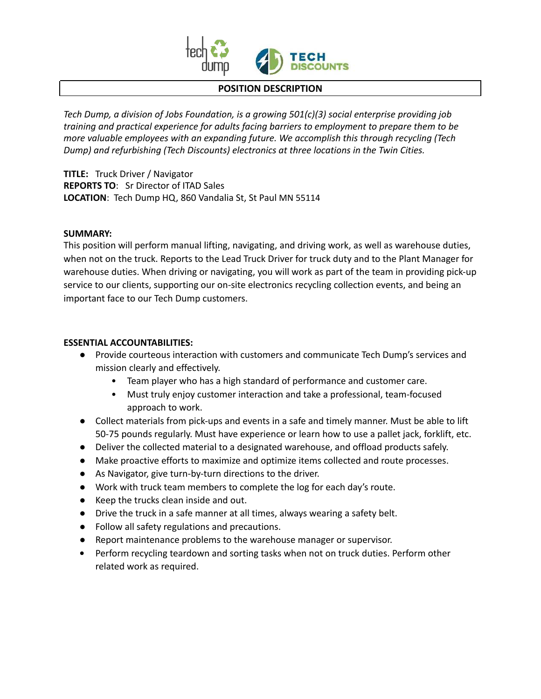

## **POSITION DESCRIPTION**

*Tech Dump, a division of Jobs Foundation, is a growing 501(c)(3) social enterprise providing job training and practical experience for adults facing barriers to employment to prepare them to be more valuable employees with an expanding future. We accomplish this through recycling (Tech Dump) and refurbishing (Tech Discounts) electronics at three locations in the Twin Cities.*

**TITLE:** Truck Driver / Navigator **REPORTS TO**: Sr Director of ITAD Sales **LOCATION**: Tech Dump HQ, 860 Vandalia St, St Paul MN 55114

## **SUMMARY:**

This position will perform manual lifting, navigating, and driving work, as well as warehouse duties, when not on the truck. Reports to the Lead Truck Driver for truck duty and to the Plant Manager for warehouse duties. When driving or navigating, you will work as part of the team in providing pick-up service to our clients, supporting our on-site electronics recycling collection events, and being an important face to our Tech Dump customers.

## **ESSENTIAL ACCOUNTABILITIES:**

- Provide courteous interaction with customers and communicate Tech Dump's services and mission clearly and effectively.
	- Team player who has a high standard of performance and customer care.
	- Must truly enjoy customer interaction and take a professional, team-focused approach to work.
- Collect materials from pick-ups and events in a safe and timely manner. Must be able to lift 50-75 pounds regularly. Must have experience or learn how to use a pallet jack, forklift, etc.
- Deliver the collected material to a designated warehouse, and offload products safely.
- Make proactive efforts to maximize and optimize items collected and route processes.
- As Navigator, give turn-by-turn directions to the driver.
- Work with truck team members to complete the log for each day's route.
- Keep the trucks clean inside and out.
- Drive the truck in a safe manner at all times, always wearing a safety belt.
- Follow all safety regulations and precautions.
- Report maintenance problems to the warehouse manager or supervisor.
- **•** Perform recycling teardown and sorting tasks when not on truck duties. Perform other related work as required.